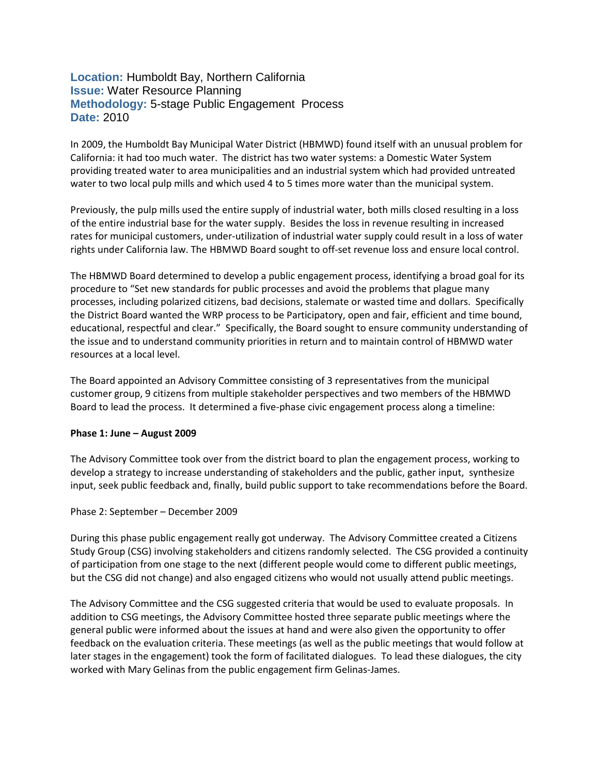# **Location:** Humboldt Bay, Northern California **Issue:** Water Resource Planning **Methodology:** 5-stage Public Engagement Process **Date:** 2010

In 2009, the Humboldt Bay Municipal Water District (HBMWD) found itself with an unusual problem for California: it had too much water. The district has two water systems: a Domestic Water System providing treated water to area municipalities and an industrial system which had provided untreated water to two local pulp mills and which used 4 to 5 times more water than the municipal system.

Previously, the pulp mills used the entire supply of industrial water, both mills closed resulting in a loss of the entire industrial base for the water supply. Besides the loss in revenue resulting in increased rates for municipal customers, under-utilization of industrial water supply could result in a loss of water rights under California law. The HBMWD Board sought to off-set revenue loss and ensure local control.

The HBMWD Board determined to develop a public engagement process, identifying a broad goal for its procedure to "Set new standards for public processes and avoid the problems that plague many processes, including polarized citizens, bad decisions, stalemate or wasted time and dollars. Specifically the District Board wanted the WRP process to be Participatory, open and fair, efficient and time bound, educational, respectful and clear." Specifically, the Board sought to ensure community understanding of the issue and to understand community priorities in return and to maintain control of HBMWD water resources at a local level.

The Board appointed an Advisory Committee consisting of 3 representatives from the municipal customer group, 9 citizens from multiple stakeholder perspectives and two members of the HBMWD Board to lead the process. It determined a five-phase civic engagement process along a timeline:

## **Phase 1: June – August 2009**

The Advisory Committee took over from the district board to plan the engagement process, working to develop a strategy to increase understanding of stakeholders and the public, gather input, synthesize input, seek public feedback and, finally, build public support to take recommendations before the Board.

### Phase 2: September – December 2009

During this phase public engagement really got underway. The Advisory Committee created a Citizens Study Group (CSG) involving stakeholders and citizens randomly selected. The CSG provided a continuity of participation from one stage to the next (different people would come to different public meetings, but the CSG did not change) and also engaged citizens who would not usually attend public meetings.

The Advisory Committee and the CSG suggested criteria that would be used to evaluate proposals. In addition to CSG meetings, the Advisory Committee hosted three separate public meetings where the general public were informed about the issues at hand and were also given the opportunity to offer feedback on the evaluation criteria. These meetings (as well as the public meetings that would follow at later stages in the engagement) took the form of facilitated dialogues. To lead these dialogues, the city worked with Mary Gelinas from the public engagement firm Gelinas-James.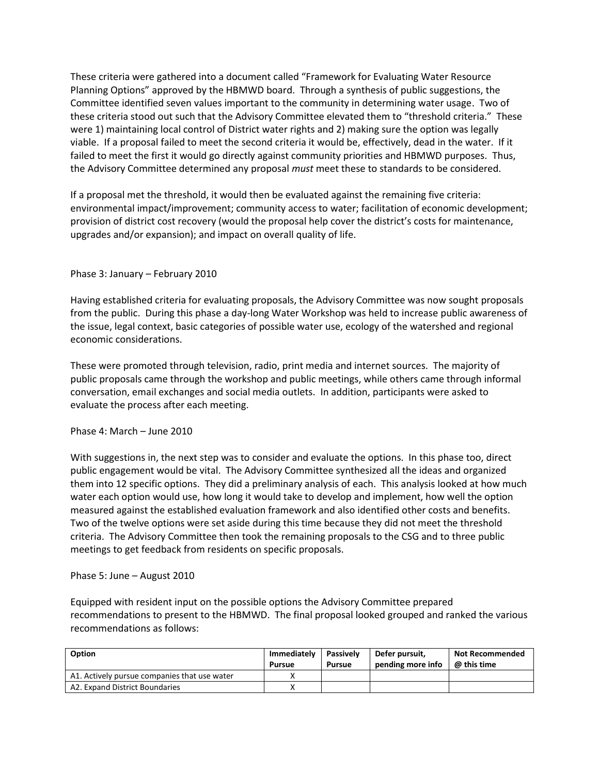These criteria were gathered into a document called "Framework for Evaluating Water Resource Planning Options" approved by the HBMWD board. Through a synthesis of public suggestions, the Committee identified seven values important to the community in determining water usage. Two of these criteria stood out such that the Advisory Committee elevated them to "threshold criteria." These were 1) maintaining local control of District water rights and 2) making sure the option was legally viable. If a proposal failed to meet the second criteria it would be, effectively, dead in the water. If it failed to meet the first it would go directly against community priorities and HBMWD purposes. Thus, the Advisory Committee determined any proposal *must* meet these to standards to be considered.

If a proposal met the threshold, it would then be evaluated against the remaining five criteria: environmental impact/improvement; community access to water; facilitation of economic development; provision of district cost recovery (would the proposal help cover the district's costs for maintenance, upgrades and/or expansion); and impact on overall quality of life.

## Phase 3: January – February 2010

Having established criteria for evaluating proposals, the Advisory Committee was now sought proposals from the public. During this phase a day-long Water Workshop was held to increase public awareness of the issue, legal context, basic categories of possible water use, ecology of the watershed and regional economic considerations.

These were promoted through television, radio, print media and internet sources. The majority of public proposals came through the workshop and public meetings, while others came through informal conversation, email exchanges and social media outlets. In addition, participants were asked to evaluate the process after each meeting.

## Phase 4: March – June 2010

With suggestions in, the next step was to consider and evaluate the options. In this phase too, direct public engagement would be vital. The Advisory Committee synthesized all the ideas and organized them into 12 specific options. They did a preliminary analysis of each. This analysis looked at how much water each option would use, how long it would take to develop and implement, how well the option measured against the established evaluation framework and also identified other costs and benefits. Two of the twelve options were set aside during this time because they did not meet the threshold criteria. The Advisory Committee then took the remaining proposals to the CSG and to three public meetings to get feedback from residents on specific proposals.

## Phase 5: June – August 2010

Equipped with resident input on the possible options the Advisory Committee prepared recommendations to present to the HBMWD. The final proposal looked grouped and ranked the various recommendations as follows:

| Option                                       | Immediately<br>Pursue | Passively<br><b>Pursue</b> | l Defer pursuit.<br>pending more info | <b>Not Recommended</b><br>$@$ this time |
|----------------------------------------------|-----------------------|----------------------------|---------------------------------------|-----------------------------------------|
| A1. Actively pursue companies that use water |                       |                            |                                       |                                         |
| A2. Expand District Boundaries               |                       |                            |                                       |                                         |